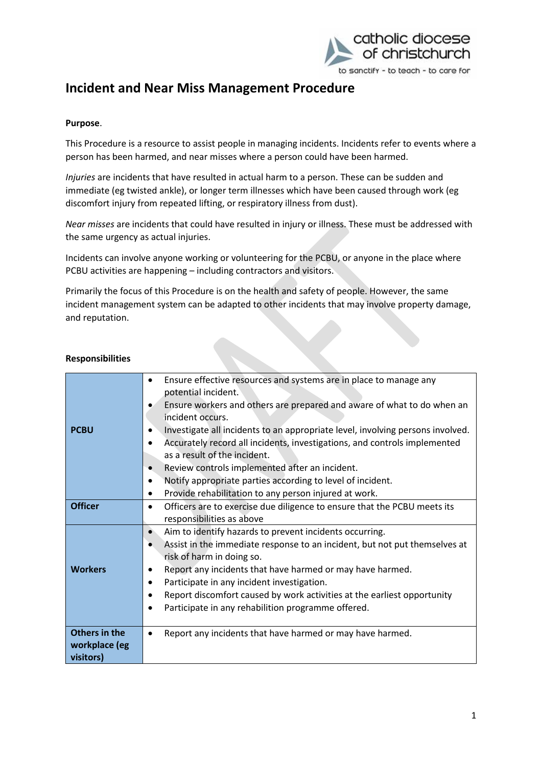

### **Purpose**.

This Procedure is a resource to assist people in managing incidents. Incidents refer to events where a person has been harmed, and near misses where a person could have been harmed.

*Injuries* are incidents that have resulted in actual harm to a person. These can be sudden and immediate (eg twisted ankle), or longer term illnesses which have been caused through work (eg discomfort injury from repeated lifting, or respiratory illness from dust).

*Near misses* are incidents that could have resulted in injury or illness. These must be addressed with the same urgency as actual injuries.

Incidents can involve anyone working or volunteering for the PCBU, or anyone in the place where PCBU activities are happening – including contractors and visitors.

Primarily the focus of this Procedure is on the health and safety of people. However, the same incident management system can be adapted to other incidents that may involve property damage, and reputation.

| <b>PCBU</b><br><b>Officer</b><br><b>Workers</b> | Ensure effective resources and systems are in place to manage any<br>potential incident.<br>Ensure workers and others are prepared and aware of what to do when an<br>incident occurs.<br>Investigate all incidents to an appropriate level, involving persons involved.<br>Accurately record all incidents, investigations, and controls implemented<br>as a result of the incident.<br>Review controls implemented after an incident.<br>$\bullet$<br>Notify appropriate parties according to level of incident.<br>$\bullet$<br>Provide rehabilitation to any person injured at work.<br>Officers are to exercise due diligence to ensure that the PCBU meets its<br>$\bullet$<br>responsibilities as above<br>Aim to identify hazards to prevent incidents occurring.<br>Assist in the immediate response to an incident, but not put themselves at<br>risk of harm in doing so.<br>Report any incidents that have harmed or may have harmed.<br>٠ |
|-------------------------------------------------|--------------------------------------------------------------------------------------------------------------------------------------------------------------------------------------------------------------------------------------------------------------------------------------------------------------------------------------------------------------------------------------------------------------------------------------------------------------------------------------------------------------------------------------------------------------------------------------------------------------------------------------------------------------------------------------------------------------------------------------------------------------------------------------------------------------------------------------------------------------------------------------------------------------------------------------------------------|
|                                                 | Participate in any incident investigation.<br>٠<br>Report discomfort caused by work activities at the earliest opportunity<br>Participate in any rehabilition programme offered.<br>$\bullet$                                                                                                                                                                                                                                                                                                                                                                                                                                                                                                                                                                                                                                                                                                                                                          |
| Others in the<br>workplace (eg<br>visitors)     | Report any incidents that have harmed or may have harmed.                                                                                                                                                                                                                                                                                                                                                                                                                                                                                                                                                                                                                                                                                                                                                                                                                                                                                              |
|                                                 |                                                                                                                                                                                                                                                                                                                                                                                                                                                                                                                                                                                                                                                                                                                                                                                                                                                                                                                                                        |

#### **Responsibilities**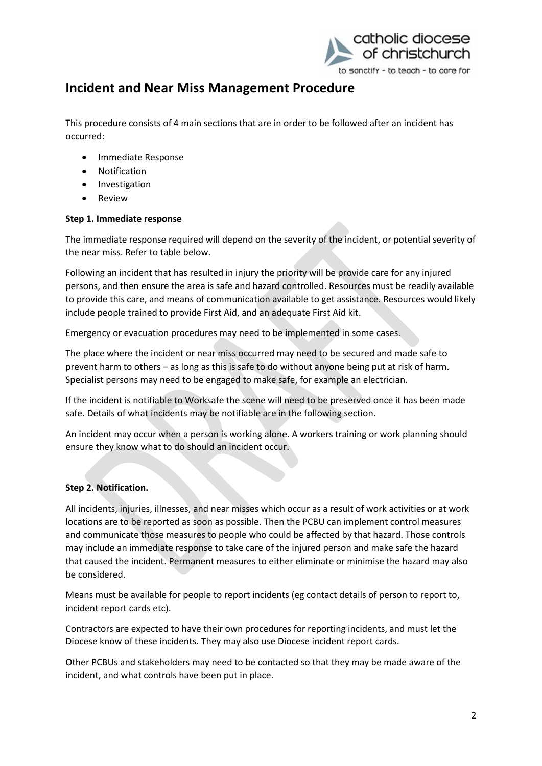

This procedure consists of 4 main sections that are in order to be followed after an incident has occurred:

- Immediate Response
- Notification
- **•** Investigation
- Review

## **Step 1. Immediate response**

The immediate response required will depend on the severity of the incident, or potential severity of the near miss. Refer to table below.

Following an incident that has resulted in injury the priority will be provide care for any injured persons, and then ensure the area is safe and hazard controlled. Resources must be readily available to provide this care, and means of communication available to get assistance. Resources would likely include people trained to provide First Aid, and an adequate First Aid kit.

Emergency or evacuation procedures may need to be implemented in some cases.

The place where the incident or near miss occurred may need to be secured and made safe to prevent harm to others – as long as this is safe to do without anyone being put at risk of harm. Specialist persons may need to be engaged to make safe, for example an electrician.

If the incident is notifiable to Worksafe the scene will need to be preserved once it has been made safe. Details of what incidents may be notifiable are in the following section.

An incident may occur when a person is working alone. A workers training or work planning should ensure they know what to do should an incident occur.

## **Step 2. Notification.**

All incidents, injuries, illnesses, and near misses which occur as a result of work activities or at work locations are to be reported as soon as possible. Then the PCBU can implement control measures and communicate those measures to people who could be affected by that hazard. Those controls may include an immediate response to take care of the injured person and make safe the hazard that caused the incident. Permanent measures to either eliminate or minimise the hazard may also be considered.

Means must be available for people to report incidents (eg contact details of person to report to, incident report cards etc).

Contractors are expected to have their own procedures for reporting incidents, and must let the Diocese know of these incidents. They may also use Diocese incident report cards.

Other PCBUs and stakeholders may need to be contacted so that they may be made aware of the incident, and what controls have been put in place.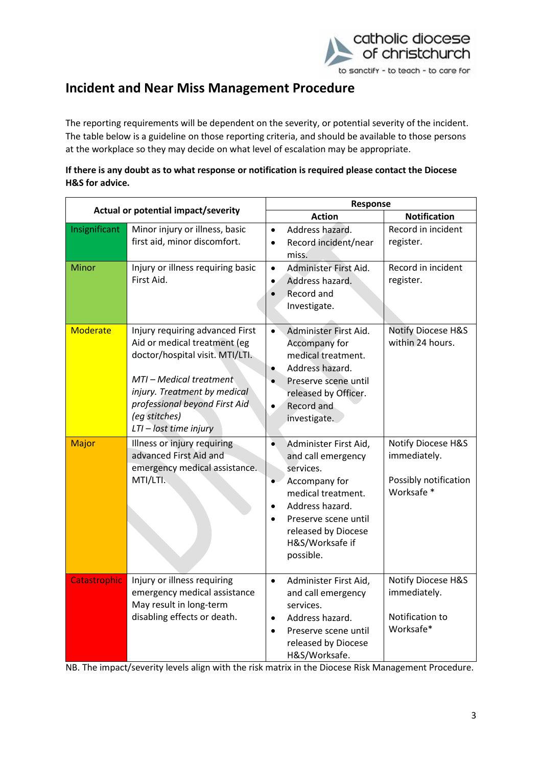

The reporting requirements will be dependent on the severity, or potential severity of the incident. The table below is a guideline on those reporting criteria, and should be available to those persons at the workplace so they may decide on what level of escalation may be appropriate.

| If there is any doubt as to what response or notification is required please contact the Diocese |
|--------------------------------------------------------------------------------------------------|
| H&S for advice.                                                                                  |

| Actual or potential impact/severity |                                                                                                                                                                                                                                           | Response                                                                                                                                                                                                                                              |                                                                                      |  |
|-------------------------------------|-------------------------------------------------------------------------------------------------------------------------------------------------------------------------------------------------------------------------------------------|-------------------------------------------------------------------------------------------------------------------------------------------------------------------------------------------------------------------------------------------------------|--------------------------------------------------------------------------------------|--|
|                                     |                                                                                                                                                                                                                                           | <b>Action</b>                                                                                                                                                                                                                                         | <b>Notification</b>                                                                  |  |
| Insignificant                       | Minor injury or illness, basic<br>first aid, minor discomfort.                                                                                                                                                                            | Address hazard.<br>$\bullet$<br>Record incident/near<br>$\bullet$<br>miss.                                                                                                                                                                            | Record in incident<br>register.                                                      |  |
| Minor                               | Injury or illness requiring basic<br>First Aid.                                                                                                                                                                                           | Administer First Aid.<br>$\bullet$<br>Address hazard.<br>$\bullet$<br>Record and<br>$\bullet$<br>Investigate.                                                                                                                                         | Record in incident<br>register.                                                      |  |
| <b>Moderate</b>                     | Injury requiring advanced First<br>Aid or medical treatment (eg<br>doctor/hospital visit. MTI/LTI.<br>MTI - Medical treatment<br>injury. Treatment by medical<br>professional beyond First Aid<br>(eg stitches)<br>LTI - lost time injury | Administer First Aid.<br>$\bullet$<br>Accompany for<br>medical treatment.<br>Address hazard.<br>$\bullet$<br>Preserve scene until<br>released by Officer.<br>Record and<br>$\bullet$<br>investigate.                                                  | <b>Notify Diocese H&amp;S</b><br>within 24 hours.                                    |  |
| <b>Major</b>                        | Illness or injury requiring<br>advanced First Aid and<br>emergency medical assistance.<br>MTI/LTI.                                                                                                                                        | $\bullet$<br>Administer First Aid,<br>and call emergency<br>services.<br>Accompany for<br>$\bullet$<br>medical treatment.<br>Address hazard.<br>$\bullet$<br>Preserve scene until<br>$\bullet$<br>released by Diocese<br>H&S/Worksafe if<br>possible. | <b>Notify Diocese H&amp;S</b><br>immediately.<br>Possibly notification<br>Worksafe * |  |
| Catastrophic                        | Injury or illness requiring<br>emergency medical assistance<br>May result in long-term<br>disabling effects or death.                                                                                                                     | Administer First Aid,<br>$\bullet$<br>and call emergency<br>services.<br>Address hazard.<br>$\bullet$<br>Preserve scene until<br>$\bullet$<br>released by Diocese<br>H&S/Worksafe.                                                                    | <b>Notify Diocese H&amp;S</b><br>immediately.<br>Notification to<br>Worksafe*        |  |

NB. The impact/severity levels align with the risk matrix in the Diocese Risk Management Procedure.